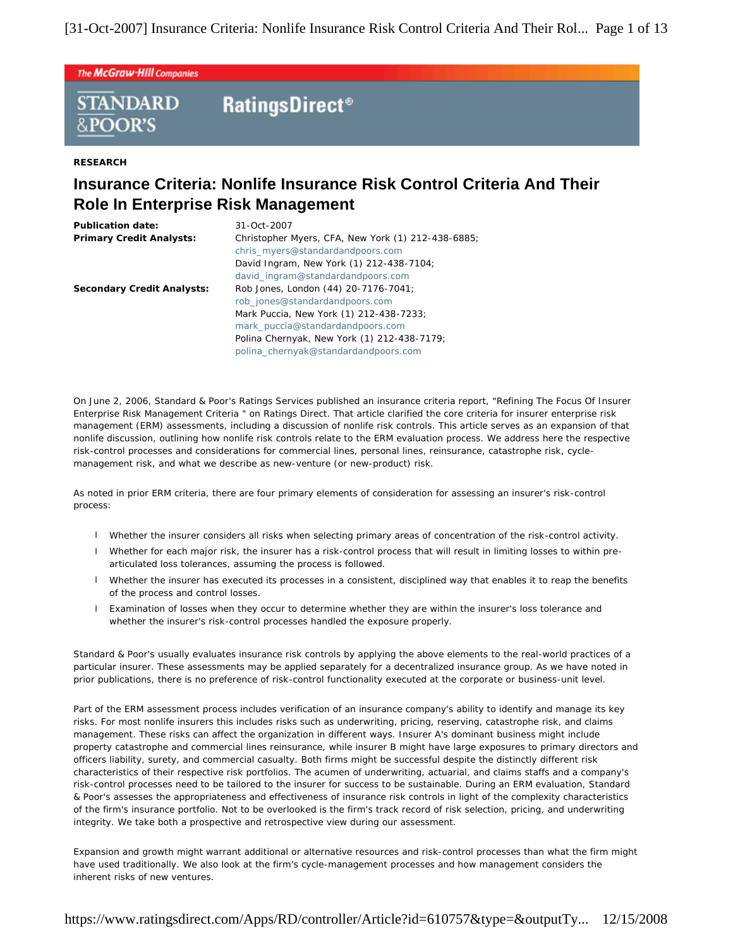The McGraw-Hill Companies

# **RatingsDirect<sup>®</sup> STANDARD**

**RESEARCH**

&POOR'S

# **Insurance Criteria: Nonlife Insurance Risk Control Criteria And Their Role In Enterprise Risk Management**

| Publication date:<br><b>Primary Credit Analysts:</b> | 31-Oct-2007<br>Christopher Myers, CFA, New York (1) 212-438-6885;<br>chris myers@standardandpoors.com<br>David Ingram, New York (1) 212-438-7104;<br>david ingram@standardandpoors.com                                                       |
|------------------------------------------------------|----------------------------------------------------------------------------------------------------------------------------------------------------------------------------------------------------------------------------------------------|
| Secondary Credit Analysts:                           | Rob Jones, London (44) 20-7176-7041;<br>rob jones@standardandpoors.com<br>Mark Puccia, New York (1) 212-438-7233;<br>mark puccia@standardandpoors.com<br>Polina Chernyak, New York (1) 212-438-7179;<br>polina chernyak@standardandpoors.com |

On June 2, 2006, Standard & Poor's Ratings Services published an insurance criteria report, "Refining The Focus Of Insurer Enterprise Risk Management Criteria " on Ratings Direct. That article clarified the core criteria for insurer enterprise risk management (ERM) assessments, including a discussion of nonlife risk controls. This article serves as an expansion of that nonlife discussion, outlining how nonlife risk controls relate to the ERM evaluation process. We address here the respective risk-control processes and considerations for commercial lines, personal lines, reinsurance, catastrophe risk, cyclemanagement risk, and what we describe as new-venture (or new-product) risk.

As noted in prior ERM criteria, there are four primary elements of consideration for assessing an insurer's risk-control process:

- l Whether the insurer considers all risks when selecting primary areas of concentration of the risk-control activity.
- l Whether for each major risk, the insurer has a risk-control process that will result in limiting losses to within prearticulated loss tolerances, assuming the process is followed.
- l Whether the insurer has executed its processes in a consistent, disciplined way that enables it to reap the benefits of the process and control losses.
- l Examination of losses when they occur to determine whether they are within the insurer's loss tolerance and whether the insurer's risk-control processes handled the exposure properly.

Standard & Poor's usually evaluates insurance risk controls by applying the above elements to the real-world practices of a particular insurer. These assessments may be applied separately for a decentralized insurance group. As we have noted in prior publications, there is no preference of risk-control functionality executed at the corporate or business-unit level.

Part of the ERM assessment process includes verification of an insurance company's ability to identify and manage its key risks. For most nonlife insurers this includes risks such as underwriting, pricing, reserving, catastrophe risk, and claims management. These risks can affect the organization in different ways. Insurer A's dominant business might include property catastrophe and commercial lines reinsurance, while insurer B might have large exposures to primary directors and officers liability, surety, and commercial casualty. Both firms might be successful despite the distinctly different risk characteristics of their respective risk portfolios. The acumen of underwriting, actuarial, and claims staffs and a company's risk-control processes need to be tailored to the insurer for success to be sustainable. During an ERM evaluation, Standard & Poor's assesses the appropriateness and effectiveness of insurance risk controls in light of the complexity characteristics of the firm's insurance portfolio. Not to be overlooked is the firm's track record of risk selection, pricing, and underwriting integrity. We take both a prospective and retrospective view during our assessment.

Expansion and growth might warrant additional or alternative resources and risk-control processes than what the firm might have used traditionally. We also look at the firm's cycle-management processes and how management considers the inherent risks of new ventures.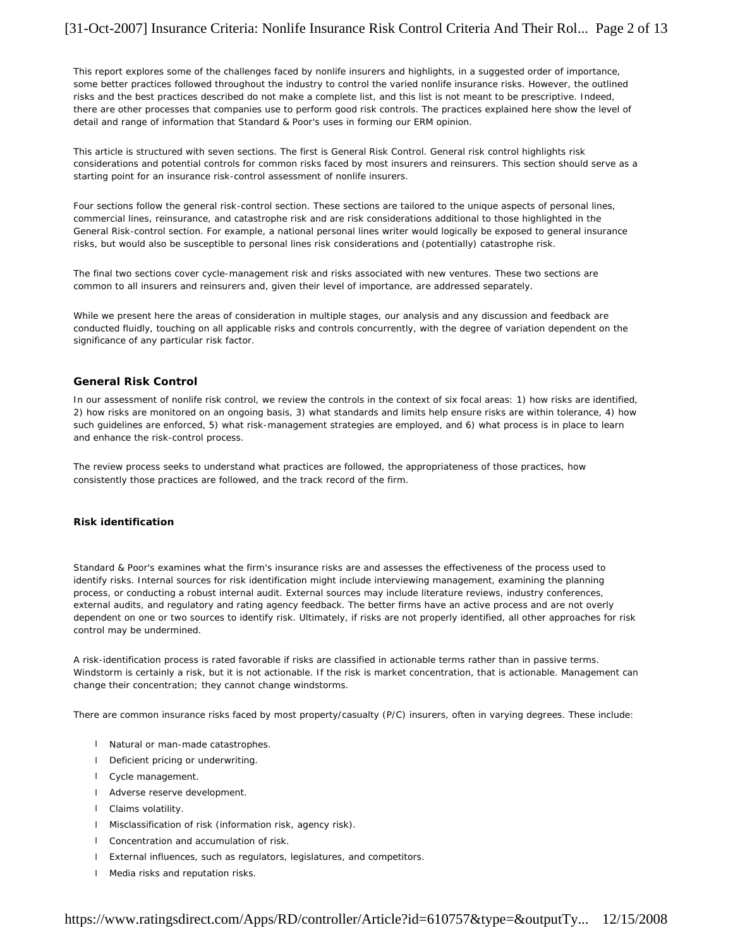This report explores some of the challenges faced by nonlife insurers and highlights, in a suggested order of importance, some better practices followed throughout the industry to control the varied nonlife insurance risks. However, the outlined risks and the best practices described do not make a complete list, and this list is not meant to be prescriptive. Indeed, there are other processes that companies use to perform good risk controls. The practices explained here show the level of detail and range of information that Standard & Poor's uses in forming our ERM opinion.

This article is structured with seven sections. The first is General Risk Control. General risk control highlights risk considerations and potential controls for common risks faced by most insurers and reinsurers. This section should serve as a starting point for an insurance risk-control assessment of nonlife insurers.

Four sections follow the general risk-control section. These sections are tailored to the unique aspects of personal lines, commercial lines, reinsurance, and catastrophe risk and are risk considerations additional to those highlighted in the General Risk-control section. For example, a national personal lines writer would logically be exposed to general insurance risks, but would also be susceptible to personal lines risk considerations and (potentially) catastrophe risk.

The final two sections cover cycle-management risk and risks associated with new ventures. These two sections are common to all insurers and reinsurers and, given their level of importance, are addressed separately.

While we present here the areas of consideration in multiple stages, our analysis and any discussion and feedback are conducted fluidly, touching on all applicable risks and controls concurrently, with the degree of variation dependent on the significance of any particular risk factor.

# **General Risk Control**

In our assessment of nonlife risk control, we review the controls in the context of six focal areas: 1) how risks are identified, 2) how risks are monitored on an ongoing basis, 3) what standards and limits help ensure risks are within tolerance, 4) how such guidelines are enforced, 5) what risk-management strategies are employed, and 6) what process is in place to learn and enhance the risk-control process.

The review process seeks to understand what practices are followed, the appropriateness of those practices, how consistently those practices are followed, and the track record of the firm.

# **Risk identification**

Standard & Poor's examines what the firm's insurance risks are and assesses the effectiveness of the process used to identify risks. Internal sources for risk identification might include interviewing management, examining the planning process, or conducting a robust internal audit. External sources may include literature reviews, industry conferences, external audits, and regulatory and rating agency feedback. The better firms have an active process and are not overly dependent on one or two sources to identify risk. Ultimately, if risks are not properly identified, all other approaches for risk control may be undermined.

A risk-identification process is rated favorable if risks are classified in actionable terms rather than in passive terms. Windstorm is certainly a risk, but it is not actionable. If the risk is market concentration, that is actionable. Management can change their concentration; they cannot change windstorms.

There are common insurance risks faced by most property/casualty (P/C) insurers, often in varying degrees. These include:

- l Natural or man-made catastrophes.
- l Deficient pricing or underwriting.
- l Cycle management.
- l Adverse reserve development.
- l Claims volatility.
- l Misclassification of risk (information risk, agency risk).
- l Concentration and accumulation of risk.
- l External influences, such as regulators, legislatures, and competitors.
- l Media risks and reputation risks.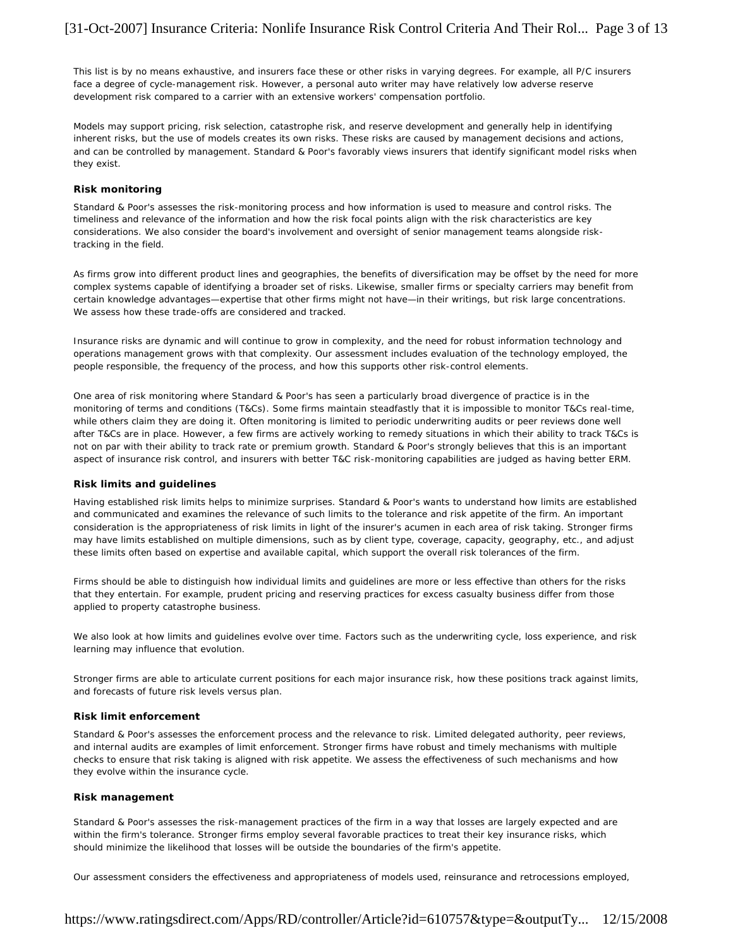This list is by no means exhaustive, and insurers face these or other risks in varying degrees. For example, all P/C insurers face a degree of cycle-management risk. However, a personal auto writer may have relatively low adverse reserve development risk compared to a carrier with an extensive workers' compensation portfolio.

Models may support pricing, risk selection, catastrophe risk, and reserve development and generally help in identifying inherent risks, but the use of models creates its own risks. These risks are caused by management decisions and actions, and can be controlled by management. Standard & Poor's favorably views insurers that identify significant model risks when they exist.

# **Risk monitoring**

Standard & Poor's assesses the risk-monitoring process and how information is used to measure and control risks. The timeliness and relevance of the information and how the risk focal points align with the risk characteristics are key considerations. We also consider the board's involvement and oversight of senior management teams alongside risktracking in the field.

As firms grow into different product lines and geographies, the benefits of diversification may be offset by the need for more complex systems capable of identifying a broader set of risks. Likewise, smaller firms or specialty carriers may benefit from certain knowledge advantages—expertise that other firms might not have—in their writings, but risk large concentrations. We assess how these trade-offs are considered and tracked.

Insurance risks are dynamic and will continue to grow in complexity, and the need for robust information technology and operations management grows with that complexity. Our assessment includes evaluation of the technology employed, the people responsible, the frequency of the process, and how this supports other risk-control elements.

One area of risk monitoring where Standard & Poor's has seen a particularly broad divergence of practice is in the monitoring of terms and conditions (T&Cs). Some firms maintain steadfastly that it is impossible to monitor T&Cs real-time, while others claim they are doing it. Often monitoring is limited to periodic underwriting audits or peer reviews done well after T&Cs are in place. However, a few firms are actively working to remedy situations in which their ability to track T&Cs is not on par with their ability to track rate or premium growth. Standard & Poor's strongly believes that this is an important aspect of insurance risk control, and insurers with better T&C risk-monitoring capabilities are judged as having better ERM.

#### **Risk limits and guidelines**

Having established risk limits helps to minimize surprises. Standard & Poor's wants to understand how limits are established and communicated and examines the relevance of such limits to the tolerance and risk appetite of the firm. An important consideration is the appropriateness of risk limits in light of the insurer's acumen in each area of risk taking. Stronger firms may have limits established on multiple dimensions, such as by client type, coverage, capacity, geography, etc., and adjust these limits often based on expertise and available capital, which support the overall risk tolerances of the firm.

Firms should be able to distinguish how individual limits and guidelines are more or less effective than others for the risks that they entertain. For example, prudent pricing and reserving practices for excess casualty business differ from those applied to property catastrophe business.

We also look at how limits and guidelines evolve over time. Factors such as the underwriting cycle, loss experience, and risk learning may influence that evolution.

Stronger firms are able to articulate current positions for each major insurance risk, how these positions track against limits, and forecasts of future risk levels versus plan.

# **Risk limit enforcement**

Standard & Poor's assesses the enforcement process and the relevance to risk. Limited delegated authority, peer reviews, and internal audits are examples of limit enforcement. Stronger firms have robust and timely mechanisms with multiple checks to ensure that risk taking is aligned with risk appetite. We assess the effectiveness of such mechanisms and how they evolve within the insurance cycle.

# **Risk management**

Standard & Poor's assesses the risk-management practices of the firm in a way that losses are largely expected and are within the firm's tolerance. Stronger firms employ several favorable practices to treat their key insurance risks, which should minimize the likelihood that losses will be outside the boundaries of the firm's appetite.

Our assessment considers the effectiveness and appropriateness of models used, reinsurance and retrocessions employed,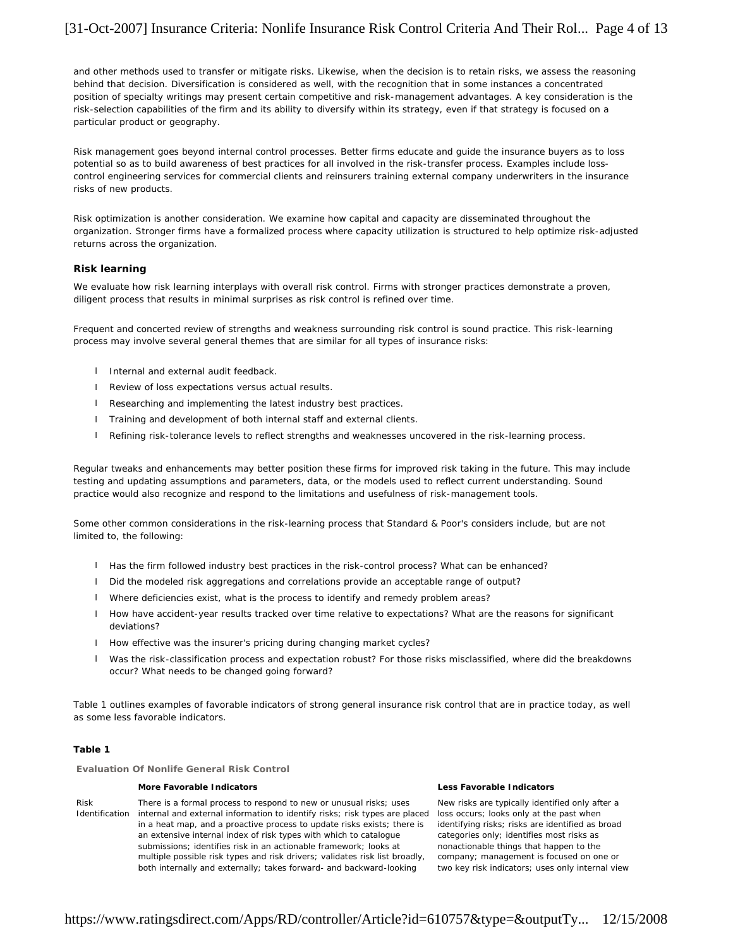# [31-Oct-2007] Insurance Criteria: Nonlife Insurance Risk Control Criteria And Their Rol... Page 4 of 13

and other methods used to transfer or mitigate risks. Likewise, when the decision is to retain risks, we assess the reasoning behind that decision. Diversification is considered as well, with the recognition that in some instances a concentrated position of specialty writings may present certain competitive and risk-management advantages. A key consideration is the risk-selection capabilities of the firm and its ability to diversify within its strategy, even if that strategy is focused on a particular product or geography.

Risk management goes beyond internal control processes. Better firms educate and guide the insurance buyers as to loss potential so as to build awareness of best practices for all involved in the risk-transfer process. Examples include losscontrol engineering services for commercial clients and reinsurers training external company underwriters in the insurance risks of new products.

Risk optimization is another consideration. We examine how capital and capacity are disseminated throughout the organization. Stronger firms have a formalized process where capacity utilization is structured to help optimize risk-adjusted returns across the organization.

### **Risk learning**

We evaluate how risk learning interplays with overall risk control. Firms with stronger practices demonstrate a proven, diligent process that results in minimal surprises as risk control is refined over time.

Frequent and concerted review of strengths and weakness surrounding risk control is sound practice. This risk-learning process may involve several general themes that are similar for all types of insurance risks:

- l Internal and external audit feedback.
- l Review of loss expectations versus actual results.
- l Researching and implementing the latest industry best practices.
- l Training and development of both internal staff and external clients.
- l Refining risk-tolerance levels to reflect strengths and weaknesses uncovered in the risk-learning process.

Regular tweaks and enhancements may better position these firms for improved risk taking in the future. This may include testing and updating assumptions and parameters, data, or the models used to reflect current understanding. Sound practice would also recognize and respond to the limitations and usefulness of risk-management tools.

Some other common considerations in the risk-learning process that Standard & Poor's considers include, but are not limited to, the following:

- l Has the firm followed industry best practices in the risk-control process? What can be enhanced?
- l Did the modeled risk aggregations and correlations provide an acceptable range of output?
- l Where deficiencies exist, what is the process to identify and remedy problem areas?
- l How have accident-year results tracked over time relative to expectations? What are the reasons for significant deviations?
- l How effective was the insurer's pricing during changing market cycles?
- l Was the risk-classification process and expectation robust? For those risks misclassified, where did the breakdowns occur? What needs to be changed going forward?

Table 1 outlines examples of favorable indicators of strong general insurance risk control that are in practice today, as well as some less favorable indicators.

# **Table 1**

**Evaluation Of Nonlife General Risk Control**

#### **More Favorable Indicators Less Favorable Indicators**

Risk Identification internal and external information to identify risks; risk types are placed There is a formal process to respond to new or unusual risks; uses in a heat map, and a proactive process to update risks exists; there is an extensive internal index of risk types with which to catalogue submissions; identifies risk in an actionable framework; looks at multiple possible risk types and risk drivers; validates risk list broadly, both internally and externally; takes forward- and backward-looking

New risks are typically identified only after a loss occurs; looks only at the past when identifying risks; risks are identified as broad categories only; identifies most risks as nonactionable things that happen to the company; management is focused on one or two key risk indicators; uses only internal view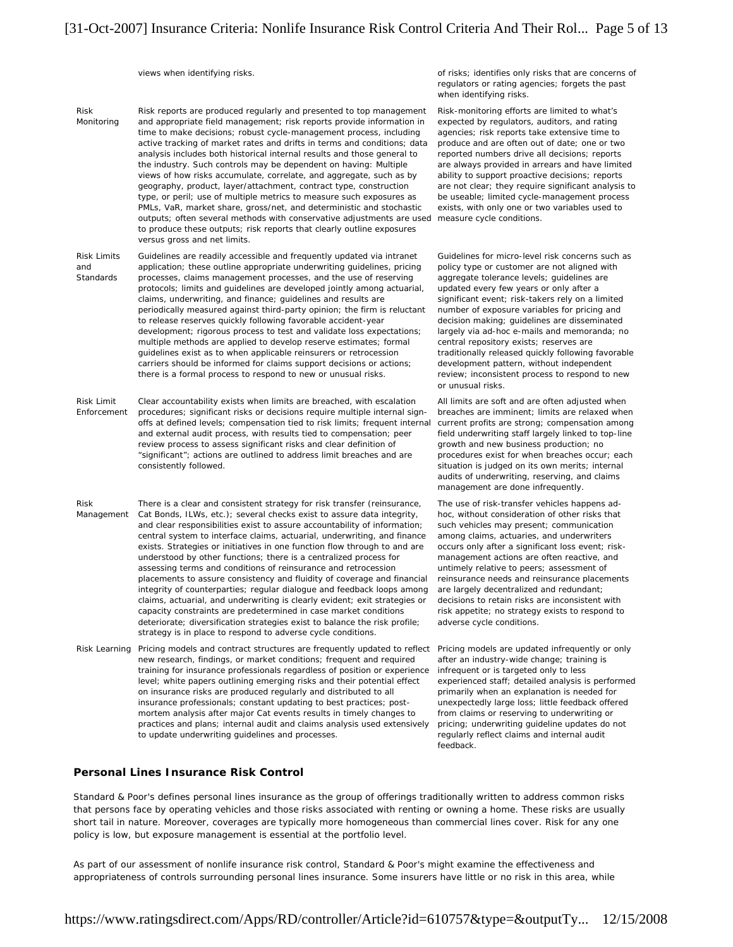Risk Monitoring Risk reports are produced regularly and presented to top management and appropriate field management; risk reports provide information in time to make decisions; robust cycle-management process, including active tracking of market rates and drifts in terms and conditions; data analysis includes both historical internal results and those general to the industry. Such controls may be dependent on having: Multiple views of how risks accumulate, correlate, and aggregate, such as by geography, product, layer/attachment, contract type, construction type, or peril; use of multiple metrics to measure such exposures as PMLs, VaR, market share, gross/net, and deterministic and stochastic outputs; often several methods with conservative adjustments are used measure cycle conditions. to produce these outputs; risk reports that clearly outline exposures versus gross and net limits.

Risk Limits and **Standards** Guidelines are readily accessible and frequently updated via intranet application; these outline appropriate underwriting guidelines, pricing processes, claims management processes, and the use of reserving protocols; limits and guidelines are developed jointly among actuarial, claims, underwriting, and finance; guidelines and results are periodically measured against third-party opinion; the firm is reluctant to release reserves quickly following favorable accident-year development; rigorous process to test and validate loss expectations; multiple methods are applied to develop reserve estimates; formal guidelines exist as to when applicable reinsurers or retrocession carriers should be informed for claims support decisions or actions; there is a formal process to respond to new or unusual risks.

Risk Limit Enforcement Clear accountability exists when limits are breached, with escalation procedures; significant risks or decisions require multiple internal signoffs at defined levels; compensation tied to risk limits; frequent internal and external audit process, with results tied to compensation; peer review process to assess significant risks and clear definition of "significant"; actions are outlined to address limit breaches and are consistently followed.

Risk Management There is a clear and consistent strategy for risk transfer (reinsurance, Cat Bonds, ILWs, etc.); several checks exist to assure data integrity, and clear responsibilities exist to assure accountability of information; central system to interface claims, actuarial, underwriting, and finance exists. Strategies or initiatives in one function flow through to and are understood by other functions; there is a centralized process for assessing terms and conditions of reinsurance and retrocession placements to assure consistency and fluidity of coverage and financial integrity of counterparties; regular dialogue and feedback loops among claims, actuarial, and underwriting is clearly evident; exit strategies or capacity constraints are predetermined in case market conditions deteriorate; diversification strategies exist to balance the risk profile; strategy is in place to respond to adverse cycle conditions.

Risk Learning Pricing models and contract structures are frequently updated to reflect Pricing models are updated infrequently or only new research, findings, or market conditions; frequent and required training for insurance professionals regardless of position or experience level; white papers outlining emerging risks and their potential effect on insurance risks are produced regularly and distributed to all insurance professionals; constant updating to best practices; postmortem analysis after major Cat events results in timely changes to practices and plans; internal audit and claims analysis used extensively to update underwriting guidelines and processes.

# **Personal Lines Insurance Risk Control**

views when identifying risks.  $\blacksquare$  of risks: identifies only risks that are concerns of regulators or rating agencies; forgets the past when identifying risks.

> Risk-monitoring efforts are limited to what's expected by regulators, auditors, and rating agencies; risk reports take extensive time to produce and are often out of date; one or two reported numbers drive all decisions; reports are always provided in arrears and have limited ability to support proactive decisions; reports are not clear; they require significant analysis to be useable; limited cycle-management process exists, with only one or two variables used to

> Guidelines for micro-level risk concerns such as policy type or customer are not aligned with aggregate tolerance levels; guidelines are updated every few years or only after a significant event; risk-takers rely on a limited number of exposure variables for pricing and decision making; guidelines are disseminated largely via ad-hoc e-mails and memoranda; no central repository exists; reserves are traditionally released quickly following favorable development pattern, without independent review; inconsistent process to respond to new or unusual risks.

> All limits are soft and are often adjusted when breaches are imminent; limits are relaxed when current profits are strong; compensation among field underwriting staff largely linked to top-line growth and new business production; no procedures exist for when breaches occur; each situation is judged on its own merits; internal audits of underwriting, reserving, and claims management are done infrequently.

The use of risk-transfer vehicles happens adhoc, without consideration of other risks that such vehicles may present; communication among claims, actuaries, and underwriters occurs only after a significant loss event; riskmanagement actions are often reactive, and untimely relative to peers; assessment of reinsurance needs and reinsurance placements are largely decentralized and redundant; decisions to retain risks are inconsistent with risk appetite; no strategy exists to respond to adverse cycle conditions.

after an industry-wide change; training is infrequent or is targeted only to less experienced staff; detailed analysis is performed primarily when an explanation is needed for unexpectedly large loss; little feedback offered from claims or reserving to underwriting or pricing; underwriting guideline updates do not regularly reflect claims and internal audit feedback.

Standard & Poor's defines personal lines insurance as the group of offerings traditionally written to address common risks that persons face by operating vehicles and those risks associated with renting or owning a home. These risks are usually short tail in nature. Moreover, coverages are typically more homogeneous than commercial lines cover. Risk for any one policy is low, but exposure management is essential at the portfolio level.

As part of our assessment of nonlife insurance risk control, Standard & Poor's might examine the effectiveness and appropriateness of controls surrounding personal lines insurance. Some insurers have little or no risk in this area, while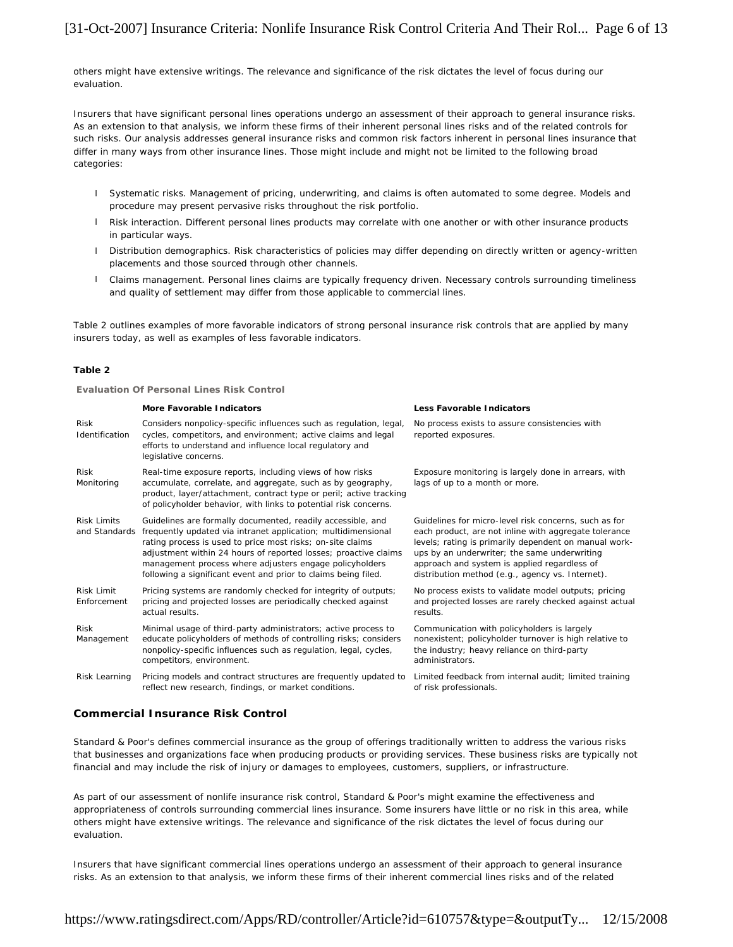others might have extensive writings. The relevance and significance of the risk dictates the level of focus during our evaluation.

Insurers that have significant personal lines operations undergo an assessment of their approach to general insurance risks. As an extension to that analysis, we inform these firms of their inherent personal lines risks and of the related controls for such risks. Our analysis addresses general insurance risks and common risk factors inherent in personal lines insurance that differ in many ways from other insurance lines. Those might include and might not be limited to the following broad categories:

- l Systematic risks. Management of pricing, underwriting, and claims is often automated to some degree. Models and procedure may present pervasive risks throughout the risk portfolio.
- l Risk interaction. Different personal lines products may correlate with one another or with other insurance products in particular ways.
- l Distribution demographics. Risk characteristics of policies may differ depending on directly written or agency-written placements and those sourced through other channels.
- l Claims management. Personal lines claims are typically frequency driven. Necessary controls surrounding timeliness and quality of settlement may differ from those applicable to commercial lines.

Table 2 outlines examples of more favorable indicators of strong personal insurance risk controls that are applied by many insurers today, as well as examples of less favorable indicators.

### **Table 2**

#### **Evaluation Of Personal Lines Risk Control**

|                                     | More Favorable Indicators                                                                                                                                                                                                                                                                                                                                                                  | Less Favorable Indicators                                                                                                                                                                                                                                                                                                   |
|-------------------------------------|--------------------------------------------------------------------------------------------------------------------------------------------------------------------------------------------------------------------------------------------------------------------------------------------------------------------------------------------------------------------------------------------|-----------------------------------------------------------------------------------------------------------------------------------------------------------------------------------------------------------------------------------------------------------------------------------------------------------------------------|
| <b>Risk</b><br>Identification       | Considers nonpolicy-specific influences such as regulation, legal,<br>cycles, competitors, and environment; active claims and legal<br>efforts to understand and influence local regulatory and<br>legislative concerns.                                                                                                                                                                   | No process exists to assure consistencies with<br>reported exposures.                                                                                                                                                                                                                                                       |
| Risk<br>Monitoring                  | Real-time exposure reports, including views of how risks<br>accumulate, correlate, and aggregate, such as by geography,<br>product, layer/attachment, contract type or peril; active tracking<br>of policyholder behavior, with links to potential risk concerns.                                                                                                                          | Exposure monitoring is largely done in arrears, with<br>lags of up to a month or more.                                                                                                                                                                                                                                      |
| <b>Risk Limits</b><br>and Standards | Guidelines are formally documented, readily accessible, and<br>frequently updated via intranet application; multidimensional<br>rating process is used to price most risks; on-site claims<br>adjustment within 24 hours of reported losses; proactive claims<br>management process where adjusters engage policyholders<br>following a significant event and prior to claims being filed. | Guidelines for micro-level risk concerns, such as for<br>each product, are not inline with aggregate tolerance<br>levels; rating is primarily dependent on manual work-<br>ups by an underwriter; the same underwriting<br>approach and system is applied regardless of<br>distribution method (e.g., agency vs. Internet). |
| <b>Risk Limit</b><br>Enforcement    | Pricing systems are randomly checked for integrity of outputs;<br>pricing and projected losses are periodically checked against<br>actual results.                                                                                                                                                                                                                                         | No process exists to validate model outputs; pricing<br>and projected losses are rarely checked against actual<br>results.                                                                                                                                                                                                  |
| <b>Risk</b><br>Management           | Minimal usage of third-party administrators; active process to<br>educate policyholders of methods of controlling risks; considers<br>nonpolicy-specific influences such as regulation, legal, cycles,<br>competitors, environment.                                                                                                                                                        | Communication with policyholders is largely<br>nonexistent; policyholder turnover is high relative to<br>the industry; heavy reliance on third-party<br>administrators.                                                                                                                                                     |
| Risk Learning                       | Pricing models and contract structures are frequently updated to<br>reflect new research, findings, or market conditions.                                                                                                                                                                                                                                                                  | Limited feedback from internal audit; limited training<br>of risk professionals.                                                                                                                                                                                                                                            |

# **Commercial Insurance Risk Control**

Standard & Poor's defines commercial insurance as the group of offerings traditionally written to address the various risks that businesses and organizations face when producing products or providing services. These business risks are typically not financial and may include the risk of injury or damages to employees, customers, suppliers, or infrastructure.

As part of our assessment of nonlife insurance risk control, Standard & Poor's might examine the effectiveness and appropriateness of controls surrounding commercial lines insurance. Some insurers have little or no risk in this area, while others might have extensive writings. The relevance and significance of the risk dictates the level of focus during our evaluation.

Insurers that have significant commercial lines operations undergo an assessment of their approach to general insurance risks. As an extension to that analysis, we inform these firms of their inherent commercial lines risks and of the related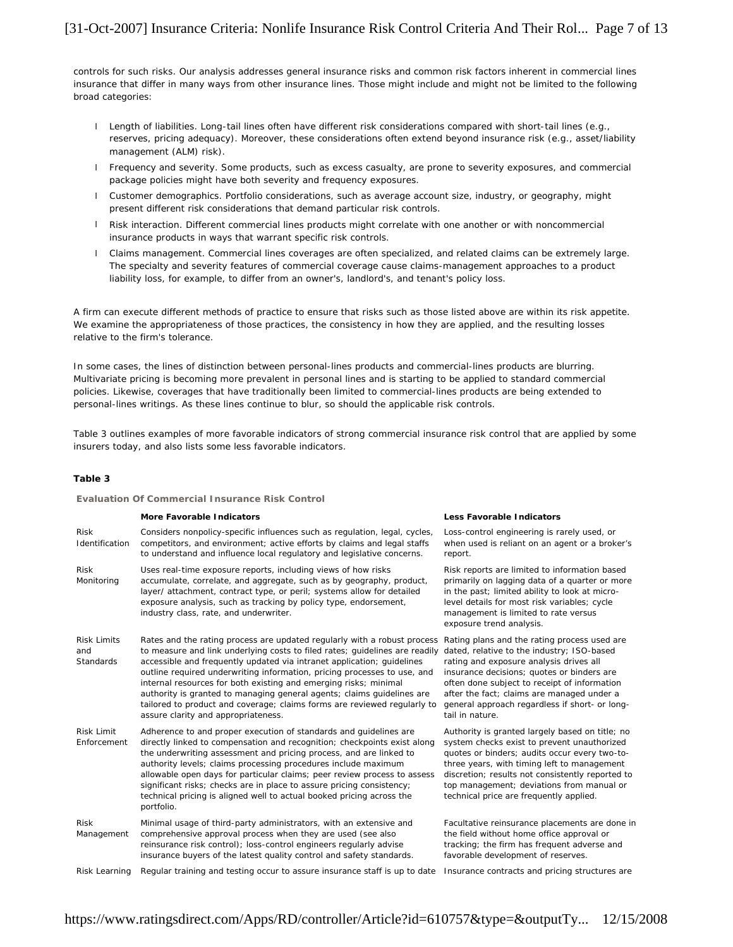controls for such risks. Our analysis addresses general insurance risks and common risk factors inherent in commercial lines insurance that differ in many ways from other insurance lines. Those might include and might not be limited to the following broad categories:

- l Length of liabilities. Long-tail lines often have different risk considerations compared with short-tail lines (e.g., reserves, pricing adequacy). Moreover, these considerations often extend beyond insurance risk (e.g., asset/liability management (ALM) risk).
- l Frequency and severity. Some products, such as excess casualty, are prone to severity exposures, and commercial package policies might have both severity and frequency exposures.
- l Customer demographics. Portfolio considerations, such as average account size, industry, or geography, might present different risk considerations that demand particular risk controls.
- l Risk interaction. Different commercial lines products might correlate with one another or with noncommercial insurance products in ways that warrant specific risk controls.
- l Claims management. Commercial lines coverages are often specialized, and related claims can be extremely large. The specialty and severity features of commercial coverage cause claims-management approaches to a product liability loss, for example, to differ from an owner's, landlord's, and tenant's policy loss.

A firm can execute different methods of practice to ensure that risks such as those listed above are within its risk appetite. We examine the appropriateness of those practices, the consistency in how they are applied, and the resulting losses relative to the firm's tolerance.

In some cases, the lines of distinction between personal-lines products and commercial-lines products are blurring. Multivariate pricing is becoming more prevalent in personal lines and is starting to be applied to standard commercial policies. Likewise, coverages that have traditionally been limited to commercial-lines products are being extended to personal-lines writings. As these lines continue to blur, so should the applicable risk controls.

Table 3 outlines examples of more favorable indicators of strong commercial insurance risk control that are applied by some insurers today, and also lists some less favorable indicators.

#### **Table 3**

#### **Evaluation Of Commercial Insurance Risk Control**

|                                        | More Favorable Indicators                                                                                                                                                                                                                                                                                                                                                                                                                                                                                                                                                      | Less Favorable Indicators                                                                                                                                                                                                                          |
|----------------------------------------|--------------------------------------------------------------------------------------------------------------------------------------------------------------------------------------------------------------------------------------------------------------------------------------------------------------------------------------------------------------------------------------------------------------------------------------------------------------------------------------------------------------------------------------------------------------------------------|----------------------------------------------------------------------------------------------------------------------------------------------------------------------------------------------------------------------------------------------------|
| <b>Risk</b><br>Identification          | Considers nonpolicy-specific influences such as regulation, legal, cycles,<br>competitors, and environment; active efforts by claims and legal staffs<br>to understand and influence local regulatory and legislative concerns.                                                                                                                                                                                                                                                                                                                                                | Loss-control engineering is ra<br>when used is reliant on an a<br>report.                                                                                                                                                                          |
| <b>Risk</b><br>Monitoring              | Uses real-time exposure reports, including views of how risks<br>accumulate, correlate, and aggregate, such as by geography, product,<br>layer/attachment, contract type, or peril; systems allow for detailed<br>exposure analysis, such as tracking by policy type, endorsement,<br>industry class, rate, and underwriter.                                                                                                                                                                                                                                                   | Risk reports are limited to in<br>primarily on lagging data of a<br>in the past; limited ability to<br>level details for most risk var<br>management is limited to rat<br>exposure trend analysis.                                                 |
| <b>Risk Limits</b><br>and<br>Standards | Rates and the rating process are updated regularly with a robust process<br>to measure and link underlying costs to filed rates; guidelines are readily<br>accessible and frequently updated via intranet application; guidelines<br>outline required underwriting information, pricing processes to use, and<br>internal resources for both existing and emerging risks; minimal<br>authority is granted to managing general agents; claims guidelines are<br>tailored to product and coverage; claims forms are reviewed regularly to<br>assure clarity and appropriateness. | Rating plans and the rating p<br>dated, relative to the industr<br>rating and exposure analysis<br>insurance decisions; quotes<br>often done subject to receipt<br>after the fact; claims are ma<br>general approach regardless<br>tail in nature. |
| Risk Limit<br>Enforcement              | Adherence to and proper execution of standards and quidelines are<br>directly linked to compensation and recognition; checkpoints exist along<br>the underwriting assessment and pricing process, and are linked to<br>authority levels; claims processing procedures include maximum<br>allowable open days for particular claims; peer review process to assess<br>significant risks; checks are in place to assure pricing consistency;<br>technical pricing is aligned well to actual booked pricing across the<br>portfolio.                                              | Authority is granted largely b<br>system checks exist to preve<br>quotes or binders; audits occ<br>three years, with timing left<br>discretion: results not consis<br>top management; deviations<br>technical price are frequently                 |
| <b>Risk</b><br>Management              | Minimal usage of third-party administrators, with an extensive and<br>comprehensive approval process when they are used (see also<br>reinsurance risk control); loss-control engineers regularly advise<br>insurance buyers of the latest quality control and safety standards.                                                                                                                                                                                                                                                                                                | Facultative reinsurance place<br>the field without home office<br>tracking; the firm has freque<br>favorable development of res                                                                                                                    |
|                                        | Rick Loarning. Requier training and testing essure to assure insurance staff is un to date. Insurance contrasts and prior                                                                                                                                                                                                                                                                                                                                                                                                                                                      |                                                                                                                                                                                                                                                    |

g is rarely used, or an agent or a broker's

to information based ta of a quarter or more lity to look at microsk variables; cycle to rate versus

ating process used are dustry; ISO-based alysis drives all iotes or binders are eceipt of information e managed under a rdless if short- or long-

gely based on title; no prevent unauthorized its occur every two-tog left to management consistently reported to ations from manual or uently applied.

placements are done in office approval or requent adverse and of reserves.

Risk Learning Regular training and testing occur to assure insurance staff is up to date Insurance contracts and pricing structures are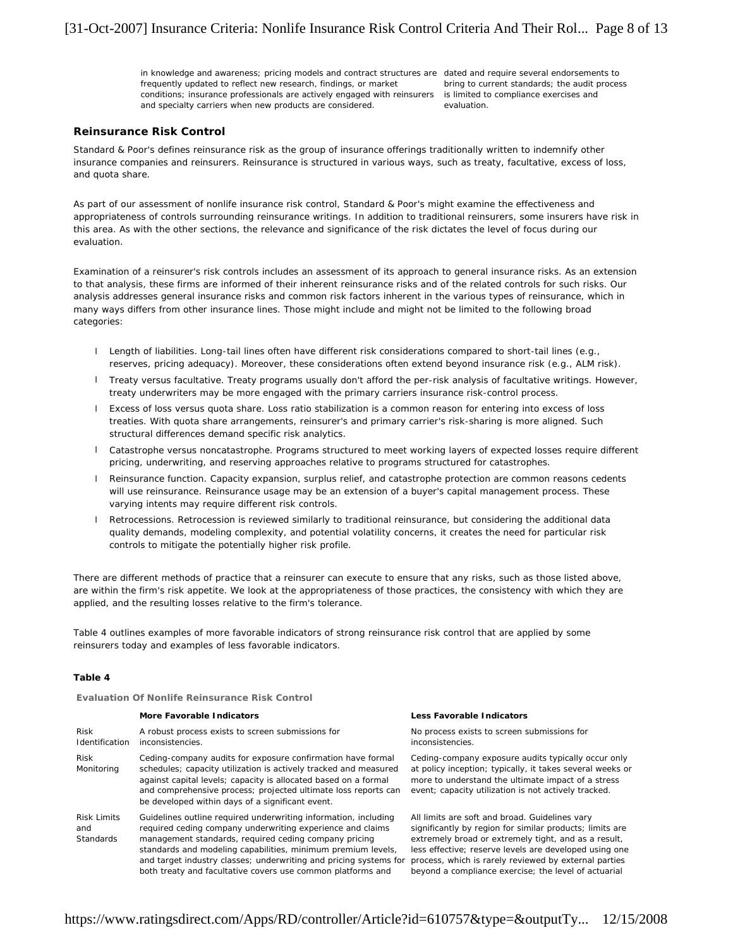in knowledge and awareness; pricing models and contract structures are dated and require several endorsements to frequently updated to reflect new research, findings, or market conditions; insurance professionals are actively engaged with reinsurers is limited to compliance exercises and and specialty carriers when new products are considered.

bring to current standards; the audit process evaluation.

# **Reinsurance Risk Control**

Standard & Poor's defines reinsurance risk as the group of insurance offerings traditionally written to indemnify other insurance companies and reinsurers. Reinsurance is structured in various ways, such as treaty, facultative, excess of loss, and quota share.

As part of our assessment of nonlife insurance risk control, Standard & Poor's might examine the effectiveness and appropriateness of controls surrounding reinsurance writings. In addition to traditional reinsurers, some insurers have risk in this area. As with the other sections, the relevance and significance of the risk dictates the level of focus during our evaluation.

Examination of a reinsurer's risk controls includes an assessment of its approach to general insurance risks. As an extension to that analysis, these firms are informed of their inherent reinsurance risks and of the related controls for such risks. Our analysis addresses general insurance risks and common risk factors inherent in the various types of reinsurance, which in many ways differs from other insurance lines. Those might include and might not be limited to the following broad categories:

- l Length of liabilities. Long-tail lines often have different risk considerations compared to short-tail lines (e.g., reserves, pricing adequacy). Moreover, these considerations often extend beyond insurance risk (e.g., ALM risk).
- l Treaty versus facultative. Treaty programs usually don't afford the per-risk analysis of facultative writings. However, treaty underwriters may be more engaged with the primary carriers insurance risk-control process.
- l Excess of loss versus quota share. Loss ratio stabilization is a common reason for entering into excess of loss treaties. With quota share arrangements, reinsurer's and primary carrier's risk-sharing is more aligned. Such structural differences demand specific risk analytics.
- l Catastrophe versus noncatastrophe. Programs structured to meet working layers of expected losses require different pricing, underwriting, and reserving approaches relative to programs structured for catastrophes.
- l Reinsurance function. Capacity expansion, surplus relief, and catastrophe protection are common reasons cedents will use reinsurance. Reinsurance usage may be an extension of a buyer's capital management process. These varying intents may require different risk controls.
- l Retrocessions. Retrocession is reviewed similarly to traditional reinsurance, but considering the additional data quality demands, modeling complexity, and potential volatility concerns, it creates the need for particular risk controls to mitigate the potentially higher risk profile.

There are different methods of practice that a reinsurer can execute to ensure that any risks, such as those listed above, are within the firm's risk appetite. We look at the appropriateness of those practices, the consistency with which they are applied, and the resulting losses relative to the firm's tolerance.

Table 4 outlines examples of more favorable indicators of strong reinsurance risk control that are applied by some reinsurers today and examples of less favorable indicators.

#### **Table 4**

**Evaluation Of Nonlife Reinsurance Risk Control**

|                                               | More Favorable Indicators                                                                                                                                                                                                                                                                                                                                                                  | Less Favorable Indicators                                                                                                                                                                                                                                                                                                                     |
|-----------------------------------------------|--------------------------------------------------------------------------------------------------------------------------------------------------------------------------------------------------------------------------------------------------------------------------------------------------------------------------------------------------------------------------------------------|-----------------------------------------------------------------------------------------------------------------------------------------------------------------------------------------------------------------------------------------------------------------------------------------------------------------------------------------------|
| <b>Risk</b><br>Identification                 | A robust process exists to screen submissions for<br>inconsistencies.                                                                                                                                                                                                                                                                                                                      | No process exists to screen submissions for<br>inconsistencies.                                                                                                                                                                                                                                                                               |
| <b>Risk</b><br>Monitoring                     | Ceding-company audits for exposure confirmation have formal<br>schedules; capacity utilization is actively tracked and measured<br>against capital levels; capacity is allocated based on a formal<br>and comprehensive process; projected ultimate loss reports can<br>be developed within days of a significant event.                                                                   | Ceding-company exposure audits typically occur only<br>at policy inception; typically, it takes several weeks or<br>more to understand the ultimate impact of a stress<br>event; capacity utilization is not actively tracked.                                                                                                                |
| <b>Risk Limits</b><br>and<br><b>Standards</b> | Guidelines outline required underwriting information, including<br>required ceding company underwriting experience and claims<br>management standards, required ceding company pricing<br>standards and modeling capabilities, minimum premium levels,<br>and target industry classes; underwriting and pricing systems for<br>both treaty and facultative covers use common platforms and | All limits are soft and broad. Guidelines vary<br>significantly by region for similar products; limits are<br>extremely broad or extremely tight, and as a result,<br>less effective; reserve levels are developed using one<br>process, which is rarely reviewed by external parties<br>beyond a compliance exercise; the level of actuarial |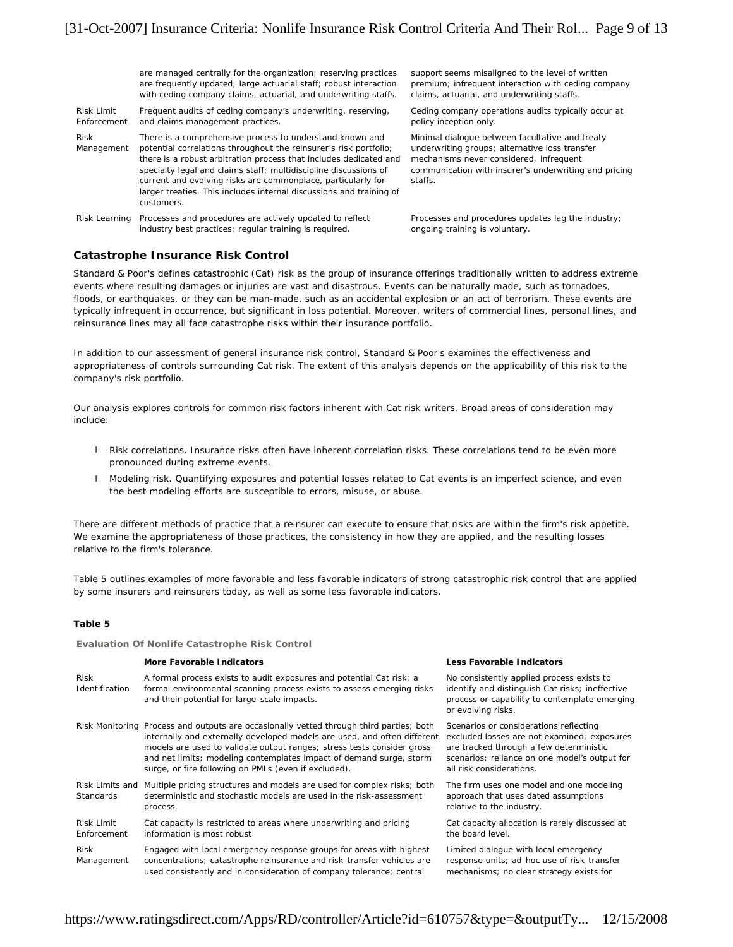are managed centrally for the organization; reserving practices are frequently updated; large actuarial staff; robust interaction with ceding company claims, actuarial, and underwriting staffs.

Risk Limit Enforcement Frequent audits of ceding company's underwriting, reserving, and claims management practices. Risk Management There is a comprehensive process to understand known and potential correlations throughout the reinsurer's risk portfolio; there is a robust arbitration process that includes dedicated and

specialty legal and claims staff; multidiscipline discussions of current and evolving risks are commonplace, particularly for larger treaties. This includes internal discussions and training of customers.

Risk Learning Processes and procedures are actively updated to reflect industry best practices; regular training is required.

support seems misaligned to the level of written premium; infrequent interaction with ceding company claims, actuarial, and underwriting staffs.

Ceding company operations audits typically occur at policy inception only.

Minimal dialogue between facultative and treaty underwriting groups; alternative loss transfer mechanisms never considered; infrequent communication with insurer's underwriting and pricing staffs.

Processes and procedures updates lag the industry; ongoing training is voluntary.

# **Catastrophe Insurance Risk Control**

Standard & Poor's defines catastrophic (Cat) risk as the group of insurance offerings traditionally written to address extreme events where resulting damages or injuries are vast and disastrous. Events can be naturally made, such as tornadoes, floods, or earthquakes, or they can be man-made, such as an accidental explosion or an act of terrorism. These events are typically infrequent in occurrence, but significant in loss potential. Moreover, writers of commercial lines, personal lines, and reinsurance lines may all face catastrophe risks within their insurance portfolio.

In addition to our assessment of general insurance risk control, Standard & Poor's examines the effectiveness and appropriateness of controls surrounding Cat risk. The extent of this analysis depends on the applicability of this risk to the company's risk portfolio.

Our analysis explores controls for common risk factors inherent with Cat risk writers. Broad areas of consideration may include:

- l Risk correlations. Insurance risks often have inherent correlation risks. These correlations tend to be even more pronounced during extreme events.
- l Modeling risk. Quantifying exposures and potential losses related to Cat events is an imperfect science, and even the best modeling efforts are susceptible to errors, misuse, or abuse.

There are different methods of practice that a reinsurer can execute to ensure that risks are within the firm's risk appetite. We examine the appropriateness of those practices, the consistency in how they are applied, and the resulting losses relative to the firm's tolerance.

Table 5 outlines examples of more favorable and less favorable indicators of strong catastrophic risk control that are applied by some insurers and reinsurers today, as well as some less favorable indicators.

#### **Table 5**

**Evaluation Of Nonlife Catastrophe Risk Control**

|                                     | More Favorable Indicators                                                                                                                                                                                                                                                                                                                                                    | Less Favorable Indicators                                                                                                                                 |
|-------------------------------------|------------------------------------------------------------------------------------------------------------------------------------------------------------------------------------------------------------------------------------------------------------------------------------------------------------------------------------------------------------------------------|-----------------------------------------------------------------------------------------------------------------------------------------------------------|
| Risk<br>Identification              | A formal process exists to audit exposures and potential Cat risk; a<br>formal environmental scanning process exists to assess emerging risks<br>and their potential for large-scale impacts.                                                                                                                                                                                | No consistently applied proce<br>identify and distinguish Cat r<br>process or capability to conte<br>or evolving risks.                                   |
|                                     | Risk Monitoring Process and outputs are occasionally vetted through third parties; both<br>internally and externally developed models are used, and often different<br>models are used to validate output ranges; stress tests consider gross<br>and net limits; modeling contemplates impact of demand surge, storm<br>surge, or fire following on PMLs (even if excluded). | Scenarios or considerations r<br>excluded losses are not exan<br>are tracked through a few de<br>scenarios: reliance on one m<br>all risk considerations. |
| Risk Limits and<br><b>Standards</b> | Multiple pricing structures and models are used for complex risks; both<br>deterministic and stochastic models are used in the risk-assessment<br>process.                                                                                                                                                                                                                   | The firm uses one model and<br>approach that uses dated as:<br>relative to the industry.                                                                  |
| Risk Limit<br>Enforcement           | Cat capacity is restricted to areas where underwriting and pricing<br>information is most robust                                                                                                                                                                                                                                                                             | Cat capacity allocation is rare<br>the board level.                                                                                                       |
| Risk<br>Management                  | Engaged with local emergency response groups for areas with highest<br>concentrations; catastrophe reinsurance and risk-transfer vehicles are<br>used consistently and in consideration of company tolerance; central                                                                                                                                                        | Limited dialogue with local e<br>response units; ad-hoc use o<br>mechanisms; no clear strate                                                              |

pplied process exists to iguish Cat risks; ineffective lity to contemplate emerging

siderations reflecting re not examined; exposures ah a few deterministic te on one model's output for tions.

model and one modeling es dated assumptions dustry.

ation is rarely discussed at

with local emergency d-hoc use of risk-transfer clear strategy exists for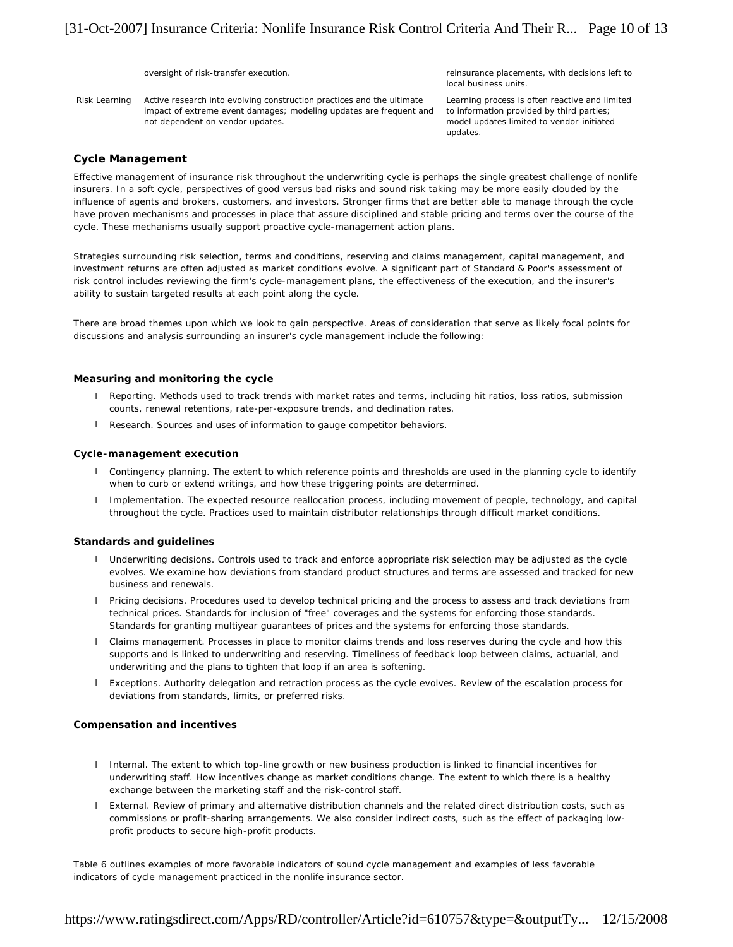oversight of risk-transfer execution. The research oversight of risk-transfer execution. The reinsurance placements, with decisions left to local business units.

Risk Learning Active research into evolving construction practices and the ultimate impact of extreme event damages; modeling updates are frequent and not dependent on vendor updates.

Learning process is often reactive and limited to information provided by third parties; model updates limited to vendor-initiated updates.

# **Cycle Management**

Effective management of insurance risk throughout the underwriting cycle is perhaps the single greatest challenge of nonlife insurers. In a soft cycle, perspectives of good versus bad risks and sound risk taking may be more easily clouded by the influence of agents and brokers, customers, and investors. Stronger firms that are better able to manage through the cycle have proven mechanisms and processes in place that assure disciplined and stable pricing and terms over the course of the cycle. These mechanisms usually support proactive cycle-management action plans.

Strategies surrounding risk selection, terms and conditions, reserving and claims management, capital management, and investment returns are often adjusted as market conditions evolve. A significant part of Standard & Poor's assessment of risk control includes reviewing the firm's cycle-management plans, the effectiveness of the execution, and the insurer's ability to sustain targeted results at each point along the cycle.

There are broad themes upon which we look to gain perspective. Areas of consideration that serve as likely focal points for discussions and analysis surrounding an insurer's cycle management include the following:

# **Measuring and monitoring the cycle**

- l Reporting. Methods used to track trends with market rates and terms, including hit ratios, loss ratios, submission counts, renewal retentions, rate-per-exposure trends, and declination rates.
- l Research. Sources and uses of information to gauge competitor behaviors.

# **Cycle-management execution**

- l Contingency planning. The extent to which reference points and thresholds are used in the planning cycle to identify when to curb or extend writings, and how these triggering points are determined.
- l Implementation. The expected resource reallocation process, including movement of people, technology, and capital throughout the cycle. Practices used to maintain distributor relationships through difficult market conditions.

# **Standards and guidelines**

- l Underwriting decisions. Controls used to track and enforce appropriate risk selection may be adjusted as the cycle evolves. We examine how deviations from standard product structures and terms are assessed and tracked for new business and renewals.
- l Pricing decisions. Procedures used to develop technical pricing and the process to assess and track deviations from technical prices. Standards for inclusion of "free" coverages and the systems for enforcing those standards. Standards for granting multiyear guarantees of prices and the systems for enforcing those standards.
- l Claims management. Processes in place to monitor claims trends and loss reserves during the cycle and how this supports and is linked to underwriting and reserving. Timeliness of feedback loop between claims, actuarial, and underwriting and the plans to tighten that loop if an area is softening.
- l Exceptions. Authority delegation and retraction process as the cycle evolves. Review of the escalation process for deviations from standards, limits, or preferred risks.

# **Compensation and incentives**

- l Internal. The extent to which top-line growth or new business production is linked to financial incentives for underwriting staff. How incentives change as market conditions change. The extent to which there is a healthy exchange between the marketing staff and the risk-control staff.
- l External. Review of primary and alternative distribution channels and the related direct distribution costs, such as commissions or profit-sharing arrangements. We also consider indirect costs, such as the effect of packaging lowprofit products to secure high-profit products.

Table 6 outlines examples of more favorable indicators of sound cycle management and examples of less favorable indicators of cycle management practiced in the nonlife insurance sector.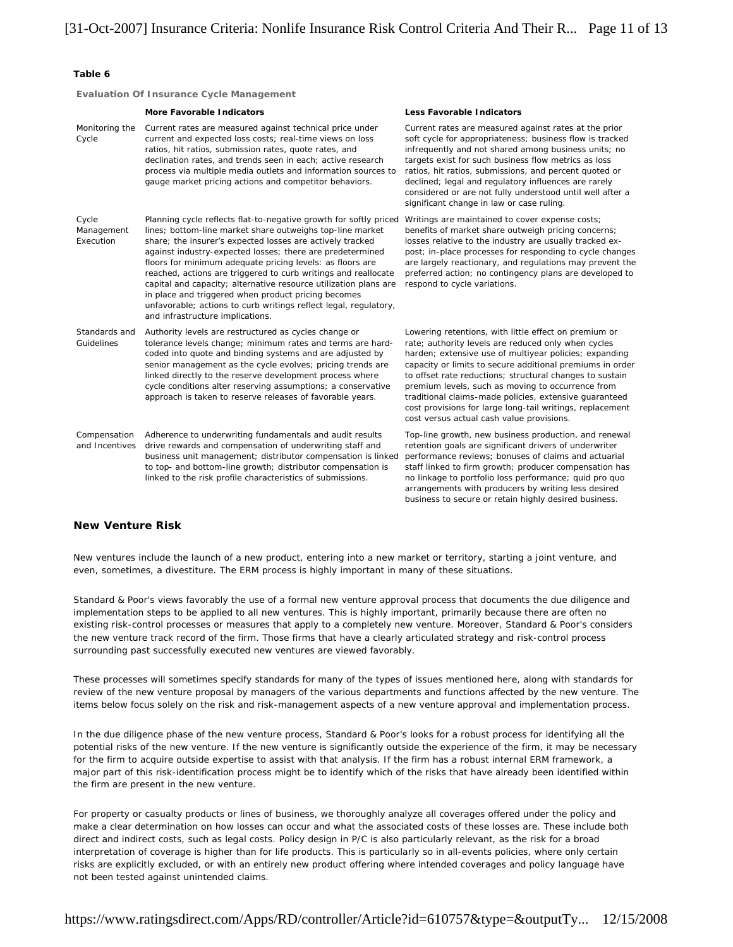# **Table 6**

**Evaluation Of Insurance Cycle Management**

|                                  | More Favorable Indicators                                                                                                                                                                                                                                                                                                                                                                                                                                                                                                                                                                                                  | Less Favorable Indicators                                                                                                                                                                                                                                                                                                                                                                                                                                                                                                |
|----------------------------------|----------------------------------------------------------------------------------------------------------------------------------------------------------------------------------------------------------------------------------------------------------------------------------------------------------------------------------------------------------------------------------------------------------------------------------------------------------------------------------------------------------------------------------------------------------------------------------------------------------------------------|--------------------------------------------------------------------------------------------------------------------------------------------------------------------------------------------------------------------------------------------------------------------------------------------------------------------------------------------------------------------------------------------------------------------------------------------------------------------------------------------------------------------------|
| Monitoring the<br>Cycle          | Current rates are measured against technical price under<br>current and expected loss costs; real-time views on loss<br>ratios, hit ratios, submission rates, quote rates, and<br>declination rates, and trends seen in each; active research<br>process via multiple media outlets and information sources to<br>gauge market pricing actions and competitor behaviors.                                                                                                                                                                                                                                                   | Current rates are measured against rates at the prior<br>soft cycle for appropriateness; business flow is tracked<br>infrequently and not shared among business units; no<br>targets exist for such business flow metrics as loss<br>ratios, hit ratios, submissions, and percent quoted or<br>declined; legal and regulatory influences are rarely<br>considered or are not fully understood until well after a<br>significant change in law or case ruling.                                                            |
| Cycle<br>Management<br>Execution | Planning cycle reflects flat-to-negative growth for softly priced<br>lines; bottom-line market share outweighs top-line market<br>share; the insurer's expected losses are actively tracked<br>against industry-expected losses; there are predetermined<br>floors for minimum adequate pricing levels: as floors are<br>reached, actions are triggered to curb writings and reallocate<br>capital and capacity; alternative resource utilization plans are<br>in place and triggered when product pricing becomes<br>unfavorable; actions to curb writings reflect legal, regulatory,<br>and infrastructure implications. | Writings are maintained to cover expense costs;<br>benefits of market share outweigh pricing concerns;<br>losses relative to the industry are usually tracked ex-<br>post; in-place processes for responding to cycle changes<br>are largely reactionary, and regulations may prevent the<br>preferred action; no contingency plans are developed to<br>respond to cycle variations.                                                                                                                                     |
| Standards and<br>Guidelines      | Authority levels are restructured as cycles change or<br>tolerance levels change; minimum rates and terms are hard-<br>coded into quote and binding systems and are adjusted by<br>senior management as the cycle evolves; pricing trends are<br>linked directly to the reserve development process where<br>cycle conditions alter reserving assumptions; a conservative<br>approach is taken to reserve releases of favorable years.                                                                                                                                                                                     | Lowering retentions, with little effect on premium or<br>rate; authority levels are reduced only when cycles<br>harden; extensive use of multiyear policies; expanding<br>capacity or limits to secure additional premiums in order<br>to offset rate reductions; structural changes to sustain<br>premium levels, such as moving to occurrence from<br>traditional claims-made policies, extensive guaranteed<br>cost provisions for large long-tail writings, replacement<br>cost versus actual cash value provisions. |
| Compensation<br>and Incentives   | Adherence to underwriting fundamentals and audit results<br>drive rewards and compensation of underwriting staff and<br>business unit management; distributor compensation is linked<br>to top- and bottom-line growth; distributor compensation is<br>linked to the risk profile characteristics of submissions.                                                                                                                                                                                                                                                                                                          | Top-line growth, new business production, and renewal<br>retention goals are significant drivers of underwriter<br>performance reviews; bonuses of claims and actuarial<br>staff linked to firm growth; producer compensation has<br>no linkage to portfolio loss performance; quid pro quo<br>arrangements with producers by writing less desired<br>business to secure or retain highly desired business.                                                                                                              |

# **New Venture Risk**

New ventures include the launch of a new product, entering into a new market or territory, starting a joint venture, and even, sometimes, a divestiture. The ERM process is highly important in many of these situations.

Standard & Poor's views favorably the use of a formal new venture approval process that documents the due diligence and implementation steps to be applied to all new ventures. This is highly important, primarily because there are often no existing risk-control processes or measures that apply to a completely new venture. Moreover, Standard & Poor's considers the new venture track record of the firm. Those firms that have a clearly articulated strategy and risk-control process surrounding past successfully executed new ventures are viewed favorably.

These processes will sometimes specify standards for many of the types of issues mentioned here, along with standards for review of the new venture proposal by managers of the various departments and functions affected by the new venture. The items below focus solely on the risk and risk-management aspects of a new venture approval and implementation process.

In the due diligence phase of the new venture process, Standard & Poor's looks for a robust process for identifying all the potential risks of the new venture. If the new venture is significantly outside the experience of the firm, it may be necessary for the firm to acquire outside expertise to assist with that analysis. If the firm has a robust internal ERM framework, a major part of this risk-identification process might be to identify which of the risks that have already been identified within the firm are present in the new venture.

For property or casualty products or lines of business, we thoroughly analyze all coverages offered under the policy and make a clear determination on how losses can occur and what the associated costs of these losses are. These include both direct and indirect costs, such as legal costs. Policy design in P/C is also particularly relevant, as the risk for a broad interpretation of coverage is higher than for life products. This is particularly so in all-events policies, where only certain risks are explicitly excluded, or with an entirely new product offering where intended coverages and policy language have not been tested against unintended claims.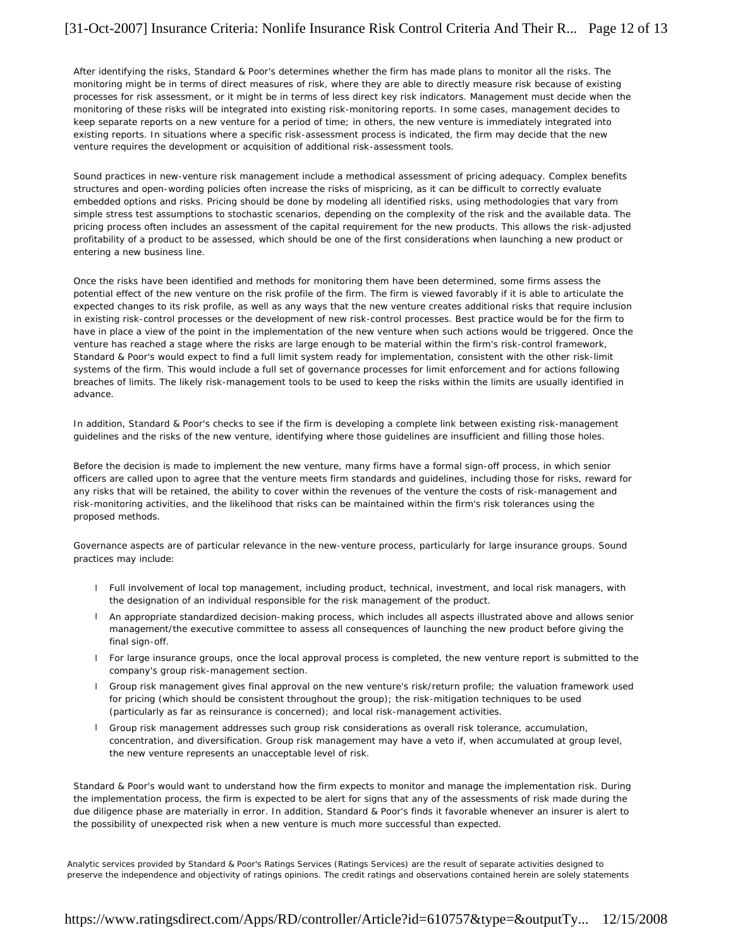After identifying the risks, Standard & Poor's determines whether the firm has made plans to monitor all the risks. The monitoring might be in terms of direct measures of risk, where they are able to directly measure risk because of existing processes for risk assessment, or it might be in terms of less direct key risk indicators. Management must decide when the monitoring of these risks will be integrated into existing risk-monitoring reports. In some cases, management decides to keep separate reports on a new venture for a period of time; in others, the new venture is immediately integrated into existing reports. In situations where a specific risk-assessment process is indicated, the firm may decide that the new venture requires the development or acquisition of additional risk-assessment tools.

Sound practices in new-venture risk management include a methodical assessment of pricing adequacy. Complex benefits structures and open-wording policies often increase the risks of mispricing, as it can be difficult to correctly evaluate embedded options and risks. Pricing should be done by modeling all identified risks, using methodologies that vary from simple stress test assumptions to stochastic scenarios, depending on the complexity of the risk and the available data. The pricing process often includes an assessment of the capital requirement for the new products. This allows the risk-adjusted profitability of a product to be assessed, which should be one of the first considerations when launching a new product or entering a new business line.

Once the risks have been identified and methods for monitoring them have been determined, some firms assess the potential effect of the new venture on the risk profile of the firm. The firm is viewed favorably if it is able to articulate the expected changes to its risk profile, as well as any ways that the new venture creates additional risks that require inclusion in existing risk-control processes or the development of new risk-control processes. Best practice would be for the firm to have in place a view of the point in the implementation of the new venture when such actions would be triggered. Once the venture has reached a stage where the risks are large enough to be material within the firm's risk-control framework, Standard & Poor's would expect to find a full limit system ready for implementation, consistent with the other risk-limit systems of the firm. This would include a full set of governance processes for limit enforcement and for actions following breaches of limits. The likely risk-management tools to be used to keep the risks within the limits are usually identified in advance.

In addition, Standard & Poor's checks to see if the firm is developing a complete link between existing risk-management guidelines and the risks of the new venture, identifying where those guidelines are insufficient and filling those holes.

Before the decision is made to implement the new venture, many firms have a formal sign-off process, in which senior officers are called upon to agree that the venture meets firm standards and guidelines, including those for risks, reward for any risks that will be retained, the ability to cover within the revenues of the venture the costs of risk-management and risk-monitoring activities, and the likelihood that risks can be maintained within the firm's risk tolerances using the proposed methods.

Governance aspects are of particular relevance in the new-venture process, particularly for large insurance groups. Sound practices may include:

- l Full involvement of local top management, including product, technical, investment, and local risk managers, with the designation of an individual responsible for the risk management of the product.
- l An appropriate standardized decision-making process, which includes all aspects illustrated above and allows senior management/the executive committee to assess all consequences of launching the new product before giving the final sign-off.
- l For large insurance groups, once the local approval process is completed, the new venture report is submitted to the company's group risk-management section.
- l Group risk management gives final approval on the new venture's risk/return profile; the valuation framework used for pricing (which should be consistent throughout the group); the risk-mitigation techniques to be used (particularly as far as reinsurance is concerned); and local risk-management activities.
- l Group risk management addresses such group risk considerations as overall risk tolerance, accumulation, concentration, and diversification. Group risk management may have a veto if, when accumulated at group level, the new venture represents an unacceptable level of risk.

Standard & Poor's would want to understand how the firm expects to monitor and manage the implementation risk. During the implementation process, the firm is expected to be alert for signs that any of the assessments of risk made during the due diligence phase are materially in error. In addition, Standard & Poor's finds it favorable whenever an insurer is alert to the possibility of unexpected risk when a new venture is much more successful than expected.

Analytic services provided by Standard & Poor's Ratings Services (Ratings Services) are the result of separate activities designed to preserve the independence and objectivity of ratings opinions. The credit ratings and observations contained herein are solely statements